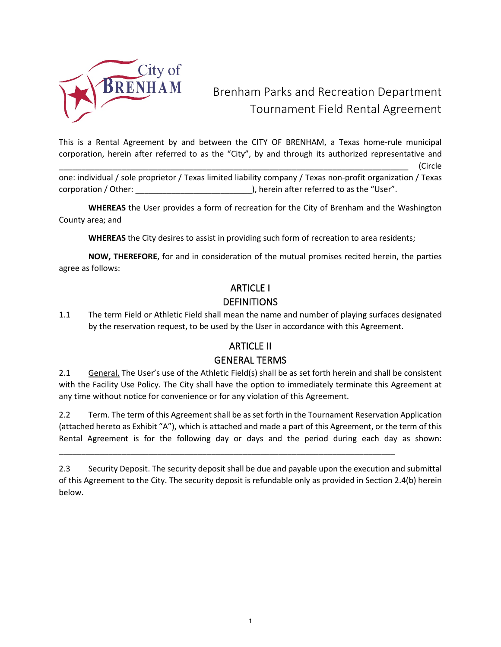

# Brenham Parks and Recreation Department Tournament Field Rental Agreement

This is a Rental Agreement by and between the CITY OF BRENHAM, a Texas home-rule municipal corporation, herein after referred to as the "City", by and through its authorized representative and \_\_\_\_\_\_\_\_\_\_\_\_\_\_\_\_\_\_\_\_\_\_\_\_\_\_\_\_\_\_\_\_\_\_\_\_\_\_\_\_\_\_\_\_\_\_\_\_\_\_\_\_\_\_\_\_\_\_\_\_\_\_\_\_\_\_\_\_\_\_\_\_\_\_\_\_\_\_ (Circle

one: individual / sole proprietor / Texas limited liability company / Texas non-profit organization / Texas corporation / Other: \_\_\_\_\_\_\_\_\_\_\_\_\_\_\_\_\_\_\_\_\_\_\_\_\_\_), herein after referred to as the "User".

**WHEREAS** the User provides a form of recreation for the City of Brenham and the Washington County area; and

**WHEREAS** the City desires to assist in providing such form of recreation to area residents;

**NOW, THEREFORE**, for and in consideration of the mutual promises recited herein, the parties agree as follows:

### ARTICLE I **DEFINITIONS**

1.1 The term Field or Athletic Field shall mean the name and number of playing surfaces designated by the reservation request, to be used by the User in accordance with this Agreement.

### ARTICLE II GENERAL TERMS

2.1 General. The User's use of the Athletic Field(s) shall be as set forth herein and shall be consistent with the Facility Use Policy. The City shall have the option to immediately terminate this Agreement at any time without notice for convenience or for any violation of this Agreement.

2.2 Term. The term of this Agreement shall be as set forth in the Tournament Reservation Application (attached hereto as Exhibit "A"), which is attached and made a part of this Agreement, or the term of this Rental Agreement is for the following day or days and the period during each day as shown:

\_\_\_\_\_\_\_\_\_\_\_\_\_\_\_\_\_\_\_\_\_\_\_\_\_\_\_\_\_\_\_\_\_\_\_\_\_\_\_\_\_\_\_\_\_\_\_\_\_\_\_\_\_\_\_\_\_\_\_\_\_\_\_\_\_\_\_\_\_\_\_\_\_\_\_

2.3 Security Deposit. The security deposit shall be due and payable upon the execution and submittal of this Agreement to the City. The security deposit is refundable only as provided in Section 2.4(b) herein below.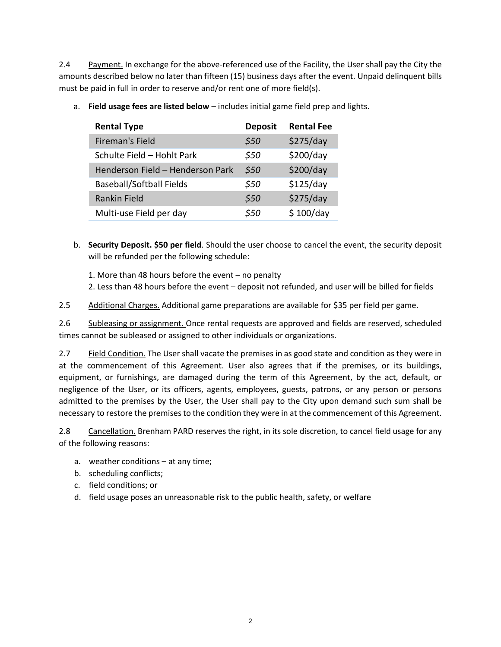2.4 Payment. In exchange for the above-referenced use of the Facility, the User shall pay the City the amounts described below no later than fifteen (15) business days after the event. Unpaid delinquent bills must be paid in full in order to reserve and/or rent one of more field(s).

| <b>Rental Type</b>               | <b>Deposit</b> | <b>Rental Fee</b> |
|----------------------------------|----------------|-------------------|
| Fireman's Field                  | \$50           | \$275/day         |
| Schulte Field - Hohlt Park       | \$50           | \$200/day         |
| Henderson Field - Henderson Park | \$50           | \$200/day         |
| <b>Baseball/Softball Fields</b>  | \$50           | \$125/day         |
| <b>Rankin Field</b>              | \$50           | \$275/day         |
| Multi-use Field per day          | \$50           | \$100/day         |

a. **Field usage fees are listed below** – includes initial game field prep and lights.

- b. **Security Deposit. \$50 per field**. Should the user choose to cancel the event, the security deposit will be refunded per the following schedule:
	- 1. More than 48 hours before the event no penalty
	- 2. Less than 48 hours before the event deposit not refunded, and user will be billed for fields
- 2.5 Additional Charges. Additional game preparations are available for \$35 per field per game.

2.6 Subleasing or assignment. Once rental requests are approved and fields are reserved, scheduled times cannot be subleased or assigned to other individuals or organizations.

2.7 **Field Condition.** The User shall vacate the premises in as good state and condition as they were in at the commencement of this Agreement. User also agrees that if the premises, or its buildings, equipment, or furnishings, are damaged during the term of this Agreement, by the act, default, or negligence of the User, or its officers, agents, employees, guests, patrons, or any person or persons admitted to the premises by the User, the User shall pay to the City upon demand such sum shall be necessary to restore the premises to the condition they were in at the commencement of this Agreement.

2.8 Cancellation. Brenham PARD reserves the right, in its sole discretion, to cancel field usage for any of the following reasons:

- a. weather conditions at any time;
- b. scheduling conflicts;
- c. field conditions; or
- d. field usage poses an unreasonable risk to the public health, safety, or welfare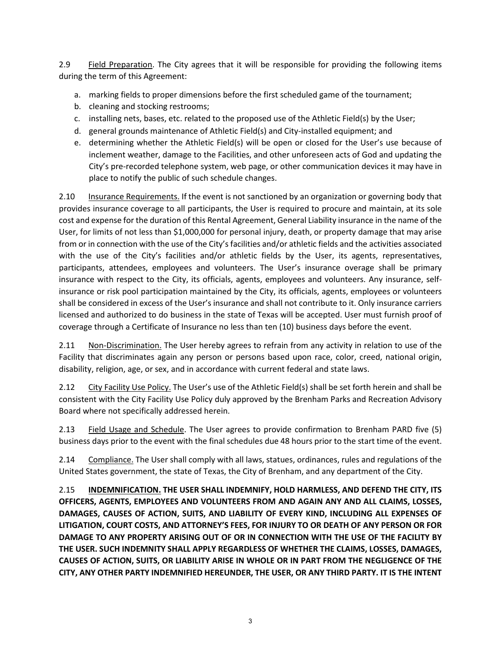2.9 Field Preparation. The City agrees that it will be responsible for providing the following items during the term of this Agreement:

- a. marking fields to proper dimensions before the first scheduled game of the tournament;
- b. cleaning and stocking restrooms;
- c. installing nets, bases, etc. related to the proposed use of the Athletic Field(s) by the User;
- d. general grounds maintenance of Athletic Field(s) and City-installed equipment; and
- e. determining whether the Athletic Field(s) will be open or closed for the User's use because of inclement weather, damage to the Facilities, and other unforeseen acts of God and updating the City's pre-recorded telephone system, web page, or other communication devices it may have in place to notify the public of such schedule changes.

2.10 Insurance Requirements. If the event is not sanctioned by an organization or governing body that provides insurance coverage to all participants, the User is required to procure and maintain, at its sole cost and expense for the duration of this Rental Agreement, General Liability insurance in the name of the User, for limits of not less than \$1,000,000 for personal injury, death, or property damage that may arise from or in connection with the use of the City's facilities and/or athletic fields and the activities associated with the use of the City's facilities and/or athletic fields by the User, its agents, representatives, participants, attendees, employees and volunteers. The User's insurance overage shall be primary insurance with respect to the City, its officials, agents, employees and volunteers. Any insurance, selfinsurance or risk pool participation maintained by the City, its officials, agents, employees or volunteers shall be considered in excess of the User's insurance and shall not contribute to it. Only insurance carriers licensed and authorized to do business in the state of Texas will be accepted. User must furnish proof of coverage through a Certificate of Insurance no less than ten (10) business days before the event.

2.11 Non-Discrimination. The User hereby agrees to refrain from any activity in relation to use of the Facility that discriminates again any person or persons based upon race, color, creed, national origin, disability, religion, age, or sex, and in accordance with current federal and state laws.

2.12 City Facility Use Policy. The User's use of the Athletic Field(s) shall be set forth herein and shall be consistent with the City Facility Use Policy duly approved by the Brenham Parks and Recreation Advisory Board where not specifically addressed herein.

2.13 Field Usage and Schedule. The User agrees to provide confirmation to Brenham PARD five (5) business days prior to the event with the final schedules due 48 hours prior to the start time of the event.

2.14 Compliance. The User shall comply with all laws, statues, ordinances, rules and regulations of the United States government, the state of Texas, the City of Brenham, and any department of the City.

2.15 **INDEMNIFICATION. THE USER SHALL INDEMNIFY, HOLD HARMLESS, AND DEFEND THE CITY, ITS OFFICERS, AGENTS, EMPLOYEES AND VOLUNTEERS FROM AND AGAIN ANY AND ALL CLAIMS, LOSSES, DAMAGES, CAUSES OF ACTION, SUITS, AND LIABILITY OF EVERY KIND, INCLUDING ALL EXPENSES OF LITIGATION, COURT COSTS, AND ATTORNEY'S FEES, FOR INJURY TO OR DEATH OF ANY PERSON OR FOR DAMAGE TO ANY PROPERTY ARISING OUT OF OR IN CONNECTION WITH THE USE OF THE FACILITY BY THE USER. SUCH INDEMNITY SHALL APPLY REGARDLESS OF WHETHER THE CLAIMS, LOSSES, DAMAGES, CAUSES OF ACTION, SUITS, OR LIABILITY ARISE IN WHOLE OR IN PART FROM THE NEGLIGENCE OF THE CITY, ANY OTHER PARTY INDEMNIFIED HEREUNDER, THE USER, OR ANY THIRD PARTY. IT IS THE INTENT**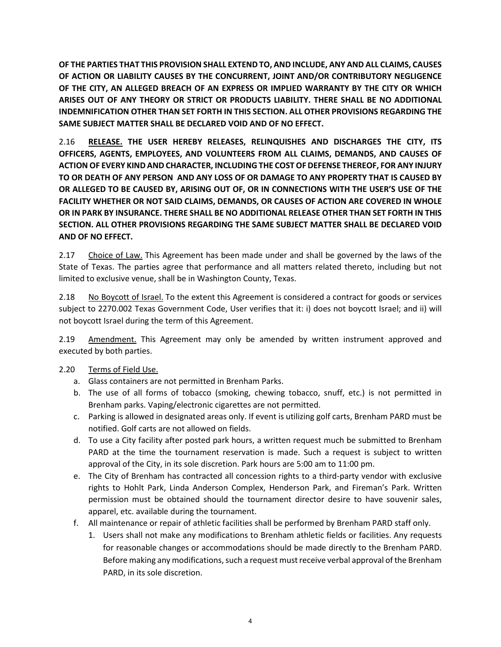**OF THE PARTIES THAT THIS PROVISION SHALL EXTEND TO, AND INCLUDE, ANY AND ALL CLAIMS, CAUSES OF ACTION OR LIABILITY CAUSES BY THE CONCURRENT, JOINT AND/OR CONTRIBUTORY NEGLIGENCE OF THE CITY, AN ALLEGED BREACH OF AN EXPRESS OR IMPLIED WARRANTY BY THE CITY OR WHICH ARISES OUT OF ANY THEORY OR STRICT OR PRODUCTS LIABILITY. THERE SHALL BE NO ADDITIONAL INDEMNIFICATION OTHER THAN SET FORTH IN THIS SECTION. ALL OTHER PROVISIONS REGARDING THE SAME SUBJECT MATTER SHALL BE DECLARED VOID AND OF NO EFFECT.**

2.16 **RELEASE. THE USER HEREBY RELEASES, RELINQUISHES AND DISCHARGES THE CITY, ITS OFFICERS, AGENTS, EMPLOYEES, AND VOLUNTEERS FROM ALL CLAIMS, DEMANDS, AND CAUSES OF ACTION OF EVERY KIND AND CHARACTER, INCLUDING THE COST OF DEFENSE THEREOF, FOR ANY INJURY TO OR DEATH OF ANY PERSON AND ANY LOSS OF OR DAMAGE TO ANY PROPERTY THAT IS CAUSED BY OR ALLEGED TO BE CAUSED BY, ARISING OUT OF, OR IN CONNECTIONS WITH THE USER'S USE OF THE FACILITY WHETHER OR NOT SAID CLAIMS, DEMANDS, OR CAUSES OF ACTION ARE COVERED IN WHOLE OR IN PARK BY INSURANCE. THERE SHALL BE NO ADDITIONAL RELEASE OTHER THAN SET FORTH IN THIS SECTION. ALL OTHER PROVISIONS REGARDING THE SAME SUBJECT MATTER SHALL BE DECLARED VOID AND OF NO EFFECT.**

2.17 Choice of Law. This Agreement has been made under and shall be governed by the laws of the State of Texas. The parties agree that performance and all matters related thereto, including but not limited to exclusive venue, shall be in Washington County, Texas.

2.18 No Boycott of Israel. To the extent this Agreement is considered a contract for goods or services subject to 2270.002 Texas Government Code, User verifies that it: i) does not boycott Israel; and ii) will not boycott Israel during the term of this Agreement.

2.19 Amendment. This Agreement may only be amended by written instrument approved and executed by both parties.

#### 2.20 Terms of Field Use.

- a. Glass containers are not permitted in Brenham Parks.
- b. The use of all forms of tobacco (smoking, chewing tobacco, snuff, etc.) is not permitted in Brenham parks. Vaping/electronic cigarettes are not permitted.
- c. Parking is allowed in designated areas only. If event is utilizing golf carts, Brenham PARD must be notified. Golf carts are not allowed on fields.
- d. To use a City facility after posted park hours, a written request much be submitted to Brenham PARD at the time the tournament reservation is made. Such a request is subject to written approval of the City, in its sole discretion. Park hours are 5:00 am to 11:00 pm.
- e. The City of Brenham has contracted all concession rights to a third-party vendor with exclusive rights to Hohlt Park, Linda Anderson Complex, Henderson Park, and Fireman's Park. Written permission must be obtained should the tournament director desire to have souvenir sales, apparel, etc. available during the tournament.
- f. All maintenance or repair of athletic facilities shall be performed by Brenham PARD staff only.
	- 1. Users shall not make any modifications to Brenham athletic fields or facilities. Any requests for reasonable changes or accommodations should be made directly to the Brenham PARD. Before making any modifications, such a request must receive verbal approval of the Brenham PARD, in its sole discretion.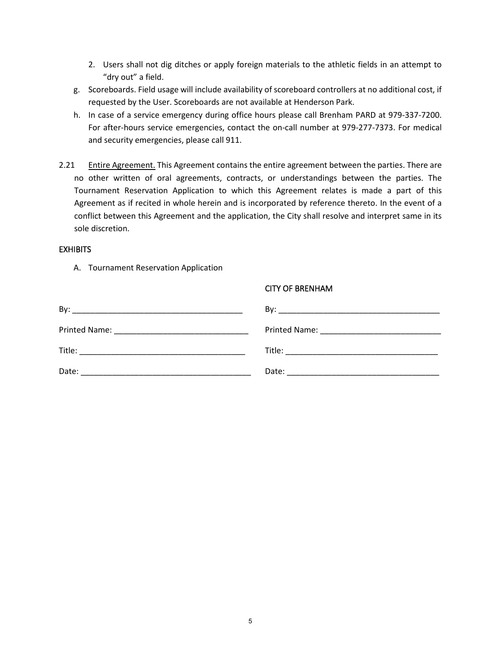- 2. Users shall not dig ditches or apply foreign materials to the athletic fields in an attempt to "dry out" a field.
- g. Scoreboards. Field usage will include availability of scoreboard controllers at no additional cost, if requested by the User. Scoreboards are not available at Henderson Park.
- h. In case of a service emergency during office hours please call Brenham PARD at 979-337-7200. For after-hours service emergencies, contact the on-call number at 979-277-7373. For medical and security emergencies, please call 911.
- 2.21 Entire Agreement. This Agreement contains the entire agreement between the parties. There are no other written of oral agreements, contracts, or understandings between the parties. The Tournament Reservation Application to which this Agreement relates is made a part of this Agreement as if recited in whole herein and is incorporated by reference thereto. In the event of a conflict between this Agreement and the application, the City shall resolve and interpret same in its sole discretion.

#### **EXHIBITS**

A. Tournament Reservation Application

| <b>CITY OF BRENHAM</b> |  |  |
|------------------------|--|--|
|                        |  |  |
|                        |  |  |
|                        |  |  |
|                        |  |  |